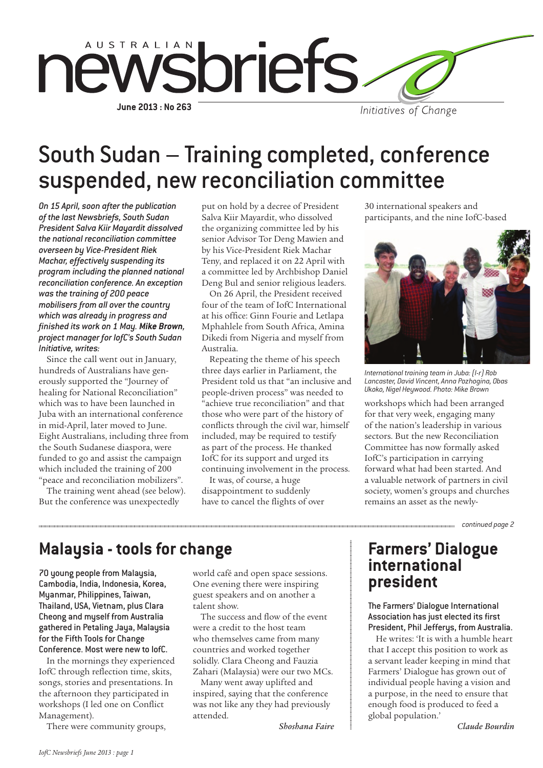

# South Sudan – Training completed, conference suspended, new reconciliation committee

*On 15 April, soon after the publication of the last Newsbriefs, South Sudan President Salva Kiir Mayardit dissolved the national reconciliation committee overseen by Vice-President Riek Machar, effectively suspending its program including the planned national reconciliation conference. An exception was the training of 200 peace mobilisers from all over the country which was already in progress and finished its work on 1 May. Mike Brown, project manager for IofC's South Sudan Initiative, writes:*

Since the call went out in January, hundreds of Australians have generously supported the "Journey of healing for National Reconciliation" which was to have been launched in Juba with an international conference in mid-April, later moved to June. Eight Australians, including three from the South Sudanese diaspora, were funded to go and assist the campaign which included the training of 200 "peace and reconciliation mobilizers".

The training went ahead (see below). But the conference was unexpectedly

put on hold by a decree of President Salva Kiir Mayardit, who dissolved the organizing committee led by his senior Advisor Tor Deng Mawien and by his Vice-President Riek Machar Teny, and replaced it on 22 April with a committee led by Archbishop Daniel Deng Bul and senior religious leaders.

On 26 April, the President received four of the team of IofC International at his office: Ginn Fourie and Letlapa Mphahlele from South Africa, Amina Dikedi from Nigeria and myself from Australia.

Repeating the theme of his speech three days earlier in Parliament, the President told us that "an inclusive and people-driven process" was needed to "achieve true reconciliation" and that those who were part of the history of conflicts through the civil war, himself included, may be required to testify as part of the process. He thanked IofC for its support and urged its continuing involvement in the process.

It was, of course, a huge disappointment to suddenly have to cancel the flights of over 30 international speakers and participants, and the nine IofC-based



*International training team in Juba: (l-r) Rob Lancaster, David Vincent, Anna Pozhogina, Obas Ukoko, Nigel Heywood. Photo: Mike Brown*

workshops which had been arranged for that very week, engaging many of the nation's leadership in various sectors. But the new Reconciliation Committee has now formally asked IofC's participation in carrying forward what had been started. And a valuable network of partners in civil society, women's groups and churches remains an asset as the newly-

*continued page 2*

### **Malaysia - tools for change**

70 young people from Malaysia, Cambodia, India, Indonesia, Korea, Myanmar, Philippines, Taiwan, Thailand, USA, Vietnam, plus Clara Cheong and myself from Australia gathered in Petaling Jaya, Malaysia for the Fifth Tools for Change Conference. Most were new to IofC.

In the mornings they experienced IofC through reflection time, skits, songs, stories and presentations. In the afternoon they participated in workshops (I led one on Conflict Management).

There were community groups,

world café and open space sessions. One evening there were inspiring guest speakers and on another a talent show.

The success and flow of the event were a credit to the host team who themselves came from many countries and worked together solidly. Clara Cheong and Fauzia Zahari (Malaysia) were our two MCs.

Many went away uplifted and inspired, saying that the conference was not like any they had previously attended.

*Shoshana Faire*

### **Farmers' Dialogue international president**

The Farmers' Dialogue International Association has just elected its first President, Phil Jefferus, from Australia.

He writes: 'It is with a humble heart that I accept this position to work as a servant leader keeping in mind that Farmers' Dialogue has grown out of individual people having a vision and a purpose, in the need to ensure that enough food is produced to feed a global population.'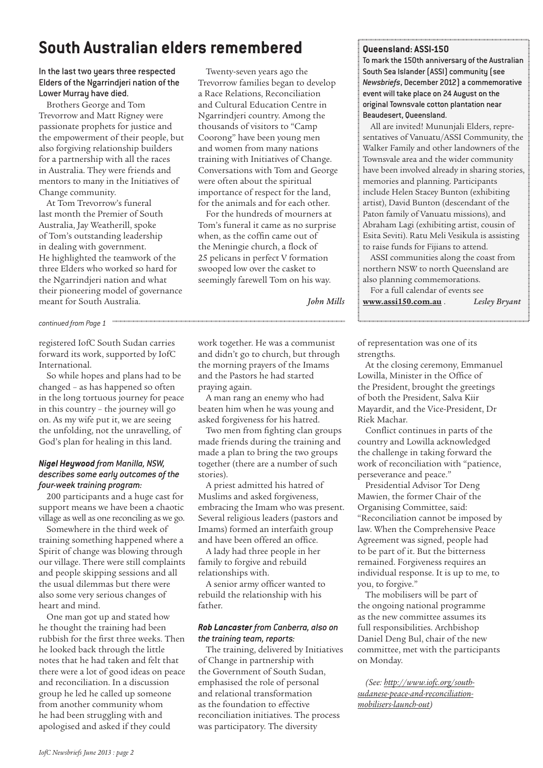### **South Australian elders remembered**

#### In the last two years three respected Elders of the Ngarrindjeri nation of the Lower Murray have died.

Brothers George and Tom Trevorrow and Matt Rigney were passionate prophets for justice and the empowerment of their people, but also forgiving relationship builders for a partnership with all the races in Australia. They were friends and mentors to many in the Initiatives of Change community.

At Tom Trevorrow's funeral last month the Premier of South Australia, Jay Weatherill, spoke of Tom's outstanding leadership in dealing with government. He highlighted the teamwork of the three Elders who worked so hard for the Ngarrindjeri nation and what their pioneering model of governance meant for South Australia.

### *continued from Page 1*

registered IofC South Sudan carries forward its work, supported by IofC International.

So while hopes and plans had to be changed – as has happened so often in the long tortuous journey for peace in this country – the journey will go on. As my wife put it, we are seeing the unfolding, not the unravelling, of God's plan for healing in this land.

#### *Nigel Heywood from Manilla, NSW, describes some early outcomes of the four-week training program:*

200 participants and a huge cast for support means we have been a chaotic village as well as one reconciling as we go.

Somewhere in the third week of training something happened where a Spirit of change was blowing through our village. There were still complaints and people skipping sessions and all the usual dilemmas but there were also some very serious changes of heart and mind.

One man got up and stated how he thought the training had been rubbish for the first three weeks. Then he looked back through the little notes that he had taken and felt that there were a lot of good ideas on peace and reconciliation. In a discussion group he led he called up someone from another community whom he had been struggling with and apologised and asked if they could

Twenty-seven years ago the Trevorrow families began to develop a Race Relations, Reconciliation and Cultural Education Centre in Ngarrindjeri country. Among the thousands of visitors to "Camp Coorong" have been young men and women from many nations training with Initiatives of Change. Conversations with Tom and George were often about the spiritual importance of respect for the land, for the animals and for each other.

For the hundreds of mourners at Tom's funeral it came as no surprise when, as the coffin came out of the Meningie church, a flock of 25 pelicans in perfect V formation swooped low over the casket to seemingly farewell Tom on his way.

*John Mills*

work together. He was a communist and didn't go to church, but through the morning prayers of the Imams and the Pastors he had started praying again.

A man rang an enemy who had beaten him when he was young and asked forgiveness for his hatred.

Two men from fighting clan groups made friends during the training and made a plan to bring the two groups together (there are a number of such stories).

A priest admitted his hatred of Muslims and asked forgiveness, embracing the Imam who was present. Several religious leaders (pastors and Imams) formed an interfaith group and have been offered an office.

A lady had three people in her family to forgive and rebuild relationships with.

A senior army officer wanted to rebuild the relationship with his father.

#### *Rob Lancaster from Canberra, also on the training team, reports:*

The training, delivered by Initiatives of Change in partnership with the Government of South Sudan, emphasised the role of personal and relational transformation as the foundation to effective reconciliation initiatives. The process was participatory. The diversity

#### **Queensland: ASSI-150**

To mark the 150th anniversary of the Australian South Sea Islander (ASSI) community (see *Newsbriefs*, December 2012) a commemorative event will take place on 24 August on the original Townsvale cotton plantation near Beaudesert, Queensland.

All are invited! Mununjali Elders, representatives of Vanuatu/ASSI Community, the Walker Family and other landowners of the Townsvale area and the wider community have been involved already in sharing stories, memories and planning. Participants include Helen Stacey Bunton (exhibiting artist), David Bunton (descendant of the Paton family of Vanuatu missions), and Abraham Lagi (exhibiting artist, cousin of Esita Seviti). Ratu Meli Vesikula is assisting to raise funds for Fijians to attend.

ASSI communities along the coast from northern NSW to north Queensland are also planning commemorations. For a full calendar of events see

**www.assi150.com.au** . *Lesley Bryant*

of representation was one of its strengths.

At the closing ceremony, Emmanuel Lowilla, Minister in the Office of the President, brought the greetings of both the President, Salva Kiir Mayardit, and the Vice-President, Dr Riek Machar.

Conflict continues in parts of the country and Lowilla acknowledged the challenge in taking forward the work of reconciliation with "patience, perseverance and peace."

Presidential Advisor Tor Deng Mawien, the former Chair of the Organising Committee, said: "Reconciliation cannot be imposed by law. When the Comprehensive Peace Agreement was signed, people had to be part of it. But the bitterness remained. Forgiveness requires an individual response. It is up to me, to you, to forgive."

The mobilisers will be part of the ongoing national programme as the new committee assumes its full responsibilities. Archbishop Daniel Deng Bul, chair of the new committee, met with the participants on Monday.

*(See: http://www.iofc.org/southsudanese-peace-and-reconciliationmobilisers-launch-out)*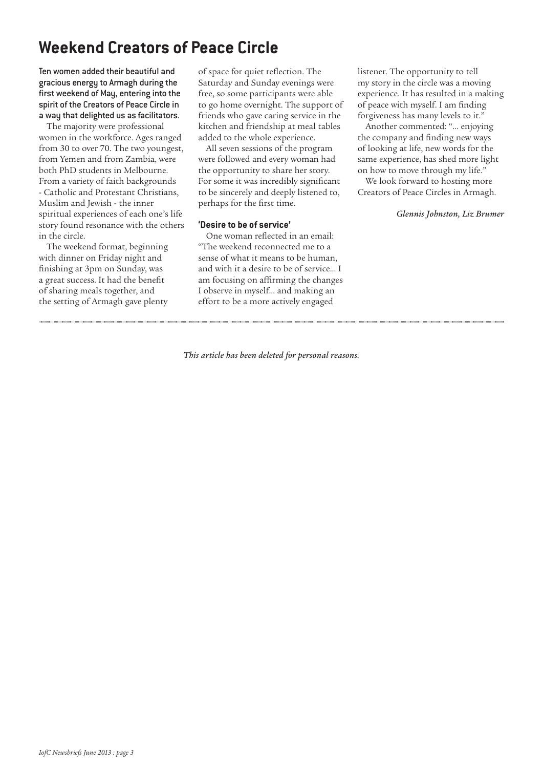## **Weekend Creators of Peace Circle**

Ten women added their beautiful and gracious energy to Armagh during the first weekend of May, entering into the spirit of the Creators of Peace Circle in a way that delighted us as facilitators.

The majority were professional women in the workforce. Ages ranged from 30 to over 70. The two youngest, from Yemen and from Zambia, were both PhD students in Melbourne. From a variety of faith backgrounds - Catholic and Protestant Christians, Muslim and Jewish - the inner spiritual experiences of each one's life story found resonance with the others in the circle.

The weekend format, beginning with dinner on Friday night and finishing at 3pm on Sunday, was a great success. It had the benefit of sharing meals together, and the setting of Armagh gave plenty

of space for quiet reflection. The Saturday and Sunday evenings were free, so some participants were able to go home overnight. The support of friends who gave caring service in the kitchen and friendship at meal tables added to the whole experience.

All seven sessions of the program were followed and every woman had the opportunity to share her story. For some it was incredibly significant to be sincerely and deeply listened to, perhaps for the first time.

#### **'Desire to be of service'**

One woman reflected in an email: "The weekend reconnected me to a sense of what it means to be human, and with it a desire to be of service... I am focusing on affirming the changes I observe in myself... and making an effort to be a more actively engaged

listener. The opportunity to tell my story in the circle was a moving experience. It has resulted in a making of peace with myself. I am finding forgiveness has many levels to it."

Another commented: "... enjoying the company and finding new ways of looking at life, new words for the same experience, has shed more light on how to move through my life."

We look forward to hosting more Creators of Peace Circles in Armagh.

#### *Glennis Johnston, Liz Brumer*

*This article has been deleted for personal reasons.*